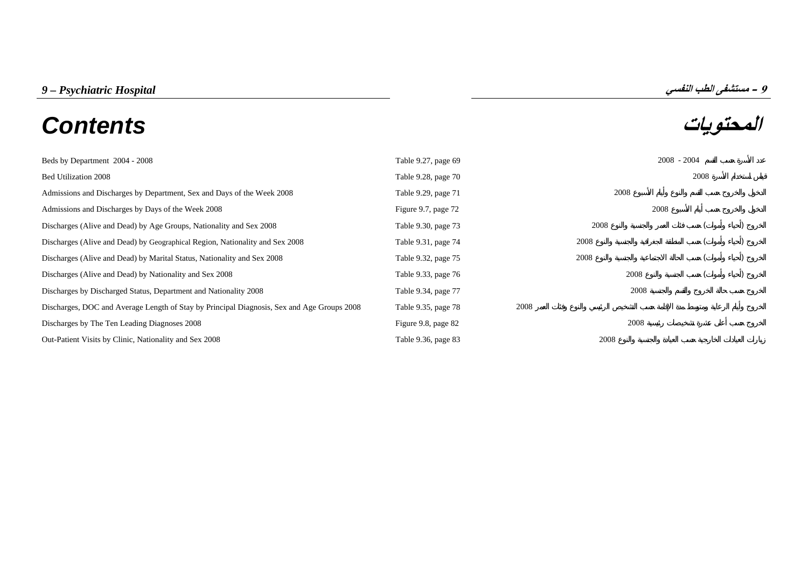| 9 – Psychiatric Hospital | ^ – مستشفى الطب النفسي |
|--------------------------|------------------------|
|--------------------------|------------------------|

# **المحتويات** *Contents*

| Beds by Department 2004 - 2008                                                             | Table 9.27, page 69 |      |      | $2008 - 2004$ |  |
|--------------------------------------------------------------------------------------------|---------------------|------|------|---------------|--|
| Bed Utilization 2008                                                                       | Table 9.28, page 70 |      |      | 2008          |  |
| Admissions and Discharges by Department, Sex and Days of the Week 2008                     | Table 9.29, page 71 |      | 2008 |               |  |
| Admissions and Discharges by Days of the Week 2008                                         | Figure 9.7, page 72 |      | 2008 |               |  |
| Discharges (Alive and Dead) by Age Groups, Nationality and Sex 2008                        | Table 9.30, page 73 |      | 2008 |               |  |
| Discharges (Alive and Dead) by Geographical Region, Nationality and Sex 2008               | Table 9.31, page 74 |      | 2008 |               |  |
| Discharges (Alive and Dead) by Marital Status, Nationality and Sex 2008                    | Table 9.32, page 75 |      | 2008 |               |  |
| Discharges (Alive and Dead) by Nationality and Sex 2008                                    | Table 9.33, page 76 |      | 2008 |               |  |
| Discharges by Discharged Status, Department and Nationality 2008                           | Table 9.34, page 77 |      | 2008 |               |  |
| Discharges, DOC and Average Length of Stay by Principal Diagnosis, Sex and Age Groups 2008 | Table 9.35, page 78 | 2008 |      |               |  |
| Discharges by The Ten Leading Diagnoses 2008                                               | Figure 9.8, page 82 |      | 2008 |               |  |
| Out-Patient Visits by Clinic, Nationality and Sex 2008                                     | Table 9.36, page 83 |      | 2008 |               |  |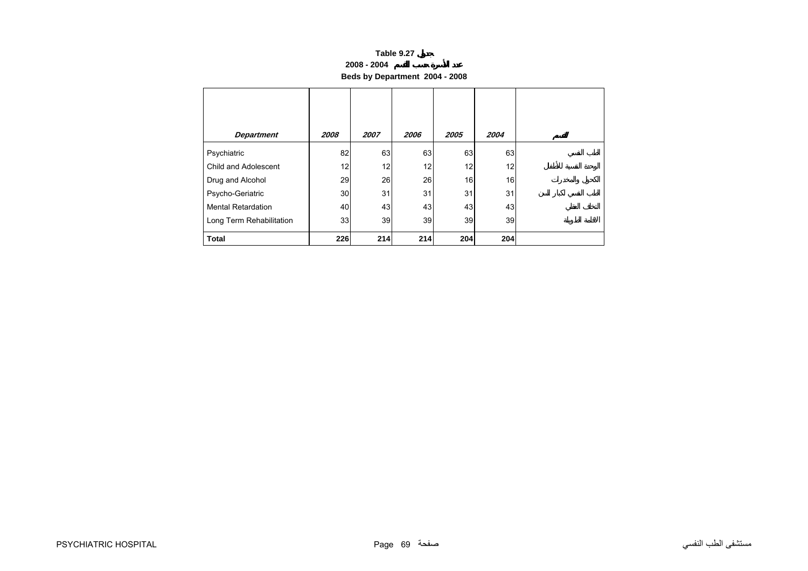#### **2008 - 2004**

**Beds by Department 2004 - 2008**

<span id="page-1-0"></span>

| <b>Department</b>         | 2008 | 2007 | 2006 | 2005 | 2004 |  |
|---------------------------|------|------|------|------|------|--|
| Psychiatric               | 82   | 63   | 63   | 63   | 63   |  |
| Child and Adolescent      | 12   | 12   | 12   | 12   | 12   |  |
| Drug and Alcohol          | 29   | 26   | 26   | 16   | 16   |  |
| Psycho-Geriatric          | 30   | 31   | 31   | 31   | 31   |  |
| <b>Mental Retardation</b> | 40   | 43   | 43   | 43   | 43   |  |
| Long Term Rehabilitation  | 33   | 39   | 39   | 39   | 39   |  |
| <b>Total</b>              | 226  | 214  | 214  | 204  | 204  |  |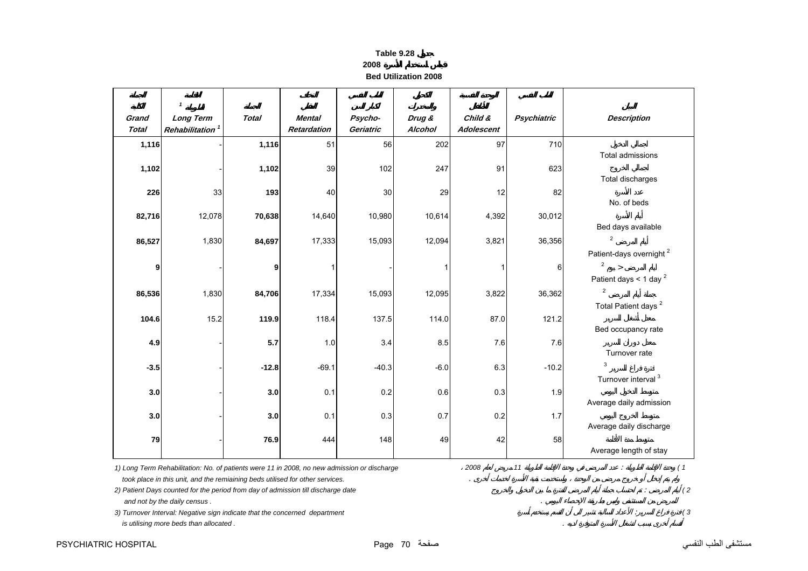| Table 9.28                  |
|-----------------------------|
| 2008                        |
| <b>Bed Utilization 2008</b> |

| Grand<br><b>Total</b> | <b>Long Term</b><br>Rehabilitation <sup>1</sup>                                                                                                                              | <b>Total</b> | <b>Mental</b><br><b>Retardation</b> | Psycho-<br>Geriatric | Drug &<br>Alcohol | Child &<br>Adolescent | <b>Psychiatric</b> | <b>Description</b>                                             |
|-----------------------|------------------------------------------------------------------------------------------------------------------------------------------------------------------------------|--------------|-------------------------------------|----------------------|-------------------|-----------------------|--------------------|----------------------------------------------------------------|
| 1,116                 |                                                                                                                                                                              | 1,116        | 51                                  | 56                   | 202               | 97                    | 710                |                                                                |
| 1,102                 |                                                                                                                                                                              | 1,102        | 39                                  | 102                  | 247               | 91                    | 623                | Total admissions                                               |
|                       |                                                                                                                                                                              |              |                                     |                      |                   |                       |                    | Total discharges                                               |
| 226                   | 33                                                                                                                                                                           | 193          | 40                                  | 30                   | 29                | 12                    | 82                 |                                                                |
| 82,716                | 12,078                                                                                                                                                                       | 70,638       | 14,640                              | 10,980               | 10,614            | 4,392                 | 30,012             | No. of beds                                                    |
|                       |                                                                                                                                                                              |              |                                     |                      |                   |                       |                    | Bed days available                                             |
| 86,527                | 1,830                                                                                                                                                                        | 84,697       | 17,333                              | 15,093               | 12,094            | 3,821                 | 36,356             | $\mathfrak{p}$                                                 |
|                       |                                                                                                                                                                              | 9            |                                     |                      |                   | 1                     | 6                  | Patient-days overnight <sup>2</sup><br>$\overline{\mathbf{c}}$ |
| 9                     |                                                                                                                                                                              |              |                                     |                      |                   |                       |                    | Patient days < 1 day $^2$                                      |
| 86,536                | 1,830                                                                                                                                                                        | 84,706       | 17,334                              | 15,093               | 12,095            | 3,822                 | 36,362             | $\overline{2}$                                                 |
|                       |                                                                                                                                                                              |              |                                     |                      |                   |                       |                    | Total Patient days <sup>2</sup>                                |
| 104.6                 | 15.2                                                                                                                                                                         | 119.9        | 118.4                               | 137.5                | 114.0             | 87.0                  | 121.2              | Bed occupancy rate                                             |
| 4.9                   |                                                                                                                                                                              | 5.7          | 1.0                                 | 3.4                  | 8.5               | 7.6                   | 7.6                |                                                                |
|                       |                                                                                                                                                                              |              |                                     |                      |                   |                       |                    | Turnover rate<br>3                                             |
| $-3.5$                |                                                                                                                                                                              | $-12.8$      | $-69.1$                             | $-40.3$              | $-6.0$            | 6.3                   | $-10.2$            | Turnover interval <sup>3</sup>                                 |
| 3.0                   |                                                                                                                                                                              | 3.0          | 0.1                                 | 0.2                  | 0.6               | 0.3                   | 1.9                |                                                                |
|                       |                                                                                                                                                                              |              |                                     |                      |                   |                       |                    | Average daily admission                                        |
| 3.0                   |                                                                                                                                                                              | 3.0          | 0.1                                 | 0.3                  | 0.7               | 0.2                   | 1.7                | Average daily discharge                                        |
| 79                    |                                                                                                                                                                              | 76.9         | 444                                 | 148                  | 49                | 42                    | 58                 |                                                                |
|                       |                                                                                                                                                                              |              |                                     |                      |                   |                       |                    | Average length of stay                                         |
|                       | 1) Long Term Rehabilitation: No. of patients were 11 in 2008, no new admission or discharge<br>took place in this unit, and the remiaining beds utilised for other services. |              |                                     |                      |                   | 2008                  | $11$               |                                                                |

*3) Turnover Interval: Negative sign indicate that the concerned department* : *( 3*

 *is utilising more beds than allocated .* .

<span id="page-2-0"></span> $\mathsf{r}$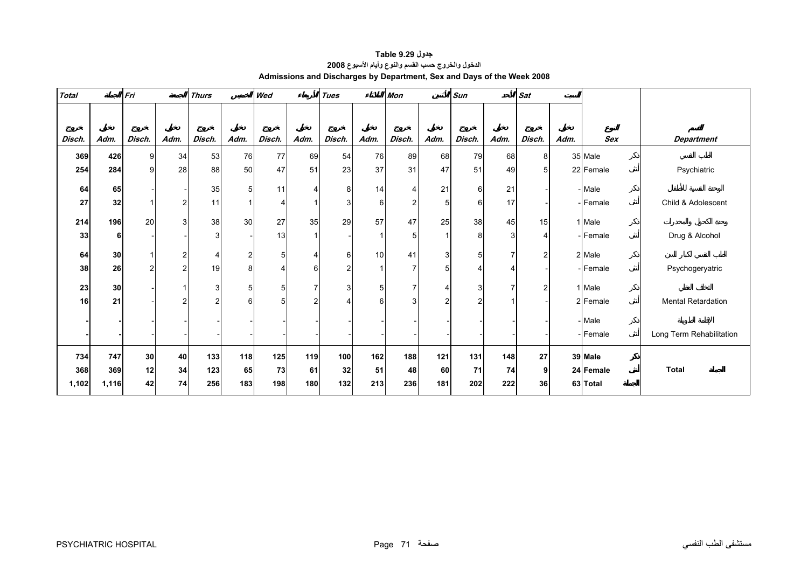<span id="page-3-0"></span>

| <b>Total</b> |       | Fri            |      | <b>Thurs</b>   |                | Wed            |                | <b>Tues</b>    |                | <b>Mon</b>     |                | Sun            |                | <b>Sat</b>     |      |            |                           |
|--------------|-------|----------------|------|----------------|----------------|----------------|----------------|----------------|----------------|----------------|----------------|----------------|----------------|----------------|------|------------|---------------------------|
|              |       |                |      |                |                |                |                |                |                |                |                |                |                |                |      |            |                           |
|              |       |                |      |                |                |                |                |                |                |                |                |                |                |                |      |            |                           |
| Disch.       | Adm.  | Disch.         | Adm. | Disch.         | Adm.           | Disch.         | Adm.           | Disch.         | Adm.           | Disch.         | Adm.           | Disch.         | Adm.           | Disch.         | Adm. | <b>Sex</b> | <b>Department</b>         |
| 369          | 426   | 9              | 34   | 53             | 76             | 77             | 69             | 54             | 76             | 89             | 68             | 79             | 68             | 8              |      | 35 Male    |                           |
| 254          | 284   | 9              | 28   | 88             | 50             | 47             | 51             | 23             | 37             | 31             | 47             | 51             | 49             | 5              |      | 22 Female  | Psychiatric               |
| 64           | 65    |                |      | 35             | 5              | 11             | 4              | 8              | 14             | $\overline{4}$ | 21             | 6              | 21             |                |      | - Male     |                           |
| 27           | 32    |                | 2    | 11             | 1              | 4              |                | 3              | 6              | $\mathbf{2}$   | 5              | 6              | 17             |                |      | - Female   | Child & Adolescent        |
| 214          | 196   | 20             | 3    | 38             | 30             | 27             | 35             | 29             | 57             | 47             | 25             | 38             | 45             | 15             |      | 1 Male     |                           |
| 33           | 6     |                |      | 3              |                | 13             | 1              |                | $\mathbf{1}$   | 5              |                | 8              | 3              | 4              |      | - Female   | Drug & Alcohol            |
| 64           | 30    |                | 2    | 4              | $\overline{a}$ | 5 <sup>1</sup> | $\overline{4}$ | 6              | 10             | 41             | $\mathbf{3}$   | 5              | $\overline{7}$ | $\overline{2}$ |      | 2 Male     |                           |
| 38           | 26    | $\overline{2}$ | 2    | 19             | 8              | 4              | 6              | $\overline{2}$ | $\overline{1}$ | $\overline{7}$ | 5              | 4              | Δ              |                |      | - Female   | Psychogeryatric           |
| 23           | 30    |                |      | 3              | 5              | 5 <sup>1</sup> | $\overline{7}$ | 3              | 5              | $\overline{7}$ | $\overline{4}$ | 3 <sub>l</sub> | $\overline{7}$ | $\overline{2}$ |      | 1 Male     |                           |
| 16           | 21    |                | 2    | $\overline{c}$ | 6              | 5              | $\overline{2}$ | $\overline{4}$ | 6              | 3              | 2              | 2              |                |                |      | 2 Female   | <b>Mental Retardation</b> |
|              |       |                |      |                |                |                |                |                |                |                |                |                |                |                |      | - Male     |                           |
|              |       |                |      |                |                |                |                |                |                |                |                |                |                |                |      | - Female   | Long Term Rehabilitation  |
| 734          | 747   | 30             | 40   | 133            | 118            | $125$          | 119            | 100            | 162            | 188            | 121            | 131            | 148            | 27             |      | 39 Male    |                           |
| 368          | 369   | 12             | 34   | 123            | 65             | 73             | 61             | 32             | 51             | 48             | 60             | 71             | 74             | 9              |      | 24 Female  | <b>Total</b>              |
| 1,102        | 1,116 | 42             | 74   | 256            | 183            | 198            | 180            | 132            | 213            | 236            | 181            | 202            | 222            | 36             |      | 63 Total   |                           |

**جدول 9.29 Table الدخول والخروج حسب القسم والنوع وأيام الأسبوع<sup>2008</sup> Admissions and Discharges by Department, Sex and Days of the Week 2008**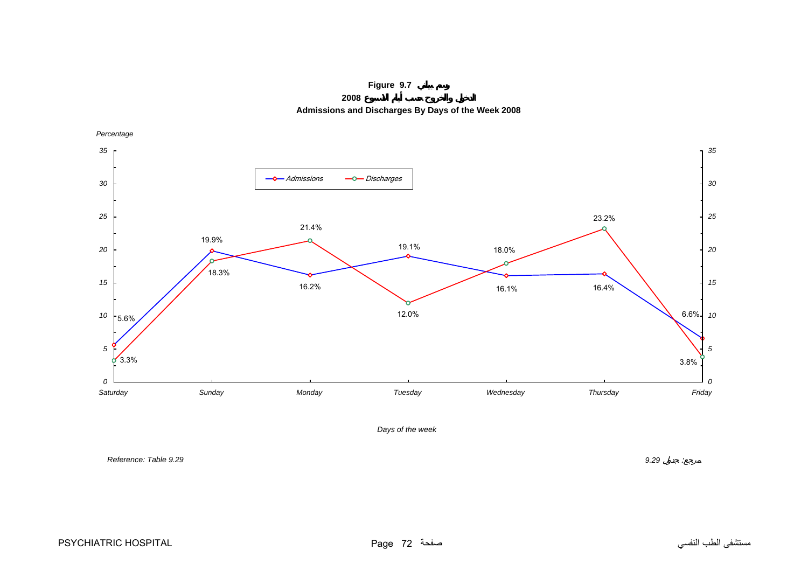**Figure 9.7**

**2008 Admissions and Discharges By Days of the Week 2008**

<span id="page-4-0"></span>

*Days of the week*

*Reference: Table 9.29*

*9.29* :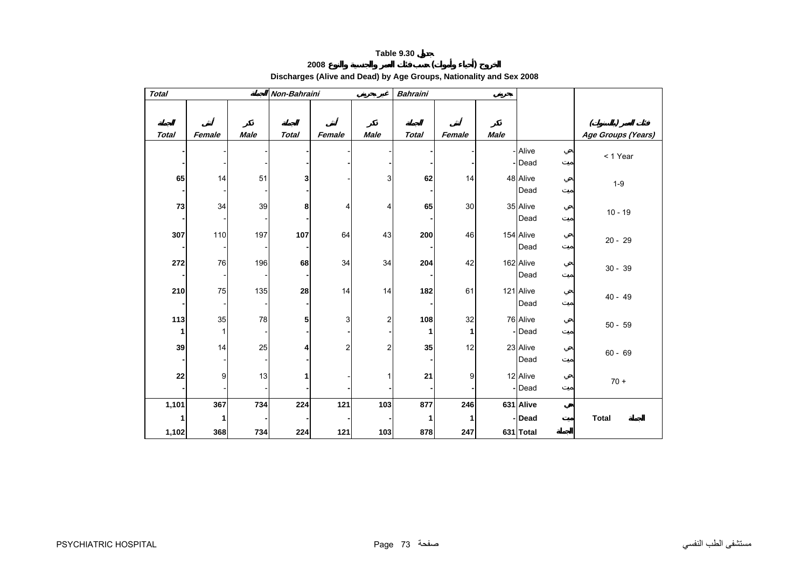# **<sup>2008</sup> ( ) Discharges (Alive and Dead) by Age Groups, Nationality and Sex 2008**

<span id="page-5-0"></span>

| <b>Total</b> |             |             | Non-Bahraini |                         |                | <b>Bahraini</b> |         |             |                    |                                                             |
|--------------|-------------|-------------|--------------|-------------------------|----------------|-----------------|---------|-------------|--------------------|-------------------------------------------------------------|
|              |             |             |              |                         |                |                 |         |             |                    | $\left( \begin{array}{c} 1 \end{array} \right)$<br>$\left($ |
| <b>Total</b> | Female      | <b>Male</b> | <b>Total</b> | Female                  | <b>Male</b>    | <b>Total</b>    | Female  | <b>Male</b> |                    | Age Groups (Years)                                          |
|              |             |             |              |                         |                |                 |         |             | - Alive<br>- Dead  | < 1 Year                                                    |
| 65           | 14          | 51          | 3            |                         | 3              | 62              | 14      |             | 48 Alive<br>Dead   | $1-9$                                                       |
| $\bf 73$     | 34          | 39          | 8            | 4                       | 4              | 65              | 30      |             | 35 Alive<br>Dead   | $10 - 19$                                                   |
| 307          | 110         | 197         | 107          | 64                      | 43             | 200             | 46      |             | 154 Alive<br>Dead  | $20 - 29$                                                   |
| 272          | 76          | 196         | 68           | 34                      | 34             | 204             | 42      |             | 162 Alive<br>Dead  | $30 - 39$                                                   |
| 210          | 75          | 135         | 28           | 14                      | 14             | 182             | 61      |             | 121 Alive<br>Dead  | $40 - 49$                                                   |
| $113$<br>1   | 35<br>1     | 78          | 5            | 3                       | $\overline{2}$ | 108<br>1        | 32<br>1 |             | 76 Alive<br>-Dead  | $50 - 59$                                                   |
| 39           | 14          | 25          | 4            | $\overline{\mathbf{c}}$ | 2              | 35              | 12      |             | 23 Alive<br>Dead   | $60 - 69$                                                   |
| ${\bf 22}$   | 9           | 13          |              |                         |                | 21              | 9       |             | 12 Alive<br>- Dead | $70 +$                                                      |
| 1,101        | 367         | 734         | 224          | 121                     | 103            | 877             | 246     |             | 631 Alive          |                                                             |
| 1            | $\mathbf 1$ |             |              |                         |                | 1               | 1       |             | - Dead             | <b>Total</b>                                                |
| 1,102        | 368         | 734         | 224          | 121                     | 103            | 878             | 247     |             | 631 Total          |                                                             |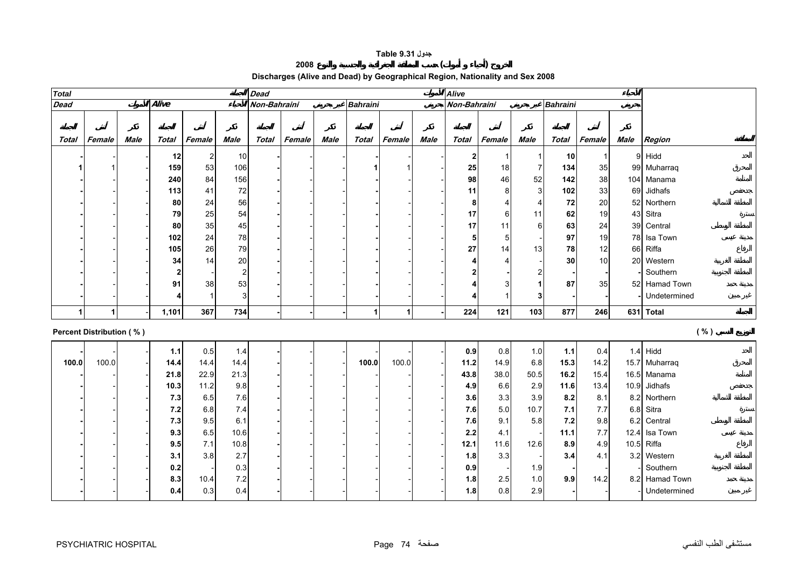#### **جدول 9.31 Table**

#### **<sup>2008</sup> ( )**

# **Discharges (Alive and Dead) by Geographical Region, Nationality and Sex 2008**

<span id="page-6-0"></span>

| <b>Total</b> |                                 |      |       |                |        | <b>Alive</b><br><b>Dead</b> |        |             |                      |        |             |                  |                |                |                 |        |      |                |
|--------------|---------------------------------|------|-------|----------------|--------|-----------------------------|--------|-------------|----------------------|--------|-------------|------------------|----------------|----------------|-----------------|--------|------|----------------|
| <b>Dead</b>  |                                 |      | Alive |                |        | Non-Bahraini                |        |             | <b>Bahraini</b>      |        |             | Non-Bahraini     |                |                | <b>Bahraini</b> |        |      |                |
|              |                                 |      |       |                |        |                             |        |             |                      |        |             |                  |                |                |                 |        |      |                |
| Total        | Female                          | Male | Total | Female         | Male   | Total                       | Female | <b>Male</b> | Total                | Female | <b>Male</b> | Total            | Female         | <b>Male</b>    | Total           | Female | Male | Region         |
|              |                                 |      | 12    | $\overline{2}$ | 10     |                             |        |             |                      |        |             | $\boldsymbol{2}$ | -1             | $\mathbf{1}$   | 10              | 1      |      | 9 Hidd         |
|              |                                 |      | 159   | 53             | 106    |                             |        |             |                      |        |             | 25               | 18             | $\overline{7}$ | 134             | 35     |      | 99 Muharraq    |
|              |                                 |      | 240   | 84             | 156    |                             |        |             |                      |        |             | 98               | 46             | 52             | 142             | 38     |      | 104 Manama     |
|              |                                 |      | 113   | 41             | $72\,$ |                             |        |             |                      |        |             | 11               | 8              | 3              | 102             | 33     |      | 69 Jidhafs     |
|              |                                 |      | 80    | 24             | 56     |                             |        |             |                      |        |             | 8                | $\overline{4}$ | $\overline{4}$ | 72              | 20     |      | 52 Northern    |
|              |                                 |      | 79    | 25             | 54     |                             |        |             |                      |        |             | 17               | 6              | 11             | 62              | 19     |      | 43 Sitra       |
|              |                                 |      | 80    | 35             | 45     |                             |        |             |                      |        |             | 17               | 11             | 6              | 63              | 24     |      | 39 Central     |
|              |                                 |      | 102   | 24             | 78     |                             |        |             |                      |        |             | 5                | 5              |                | 97              | 19     |      | 78 Isa Town    |
|              |                                 |      | 105   | 26             | 79     |                             |        |             |                      |        |             | 27               | 14             | 13             | 78              | 12     |      | 66 Riffa       |
|              |                                 |      | 34    | 14             | 20     |                             |        |             |                      |        |             |                  | $\overline{4}$ |                | 30              | 10     |      | 20 Western     |
|              |                                 |      | 2     |                | 2      |                             |        |             |                      |        |             | 2                |                | 2              |                 |        |      | Southern       |
|              |                                 |      | 91    | 38             | 53     |                             |        |             |                      |        |             |                  | 3              |                | 87              | 35     |      | 52 Hamad Town  |
|              |                                 |      |       | 1              | 3      |                             |        |             |                      |        |             |                  | $\overline{1}$ | 3              |                 |        |      | Undetermined   |
|              | 1                               |      | 1,101 | 367            | 734    |                             |        |             | $\blacktriangleleft$ | 1      |             | 224              | 121            | 103            | 877             | 246    |      | 631 Total      |
|              | <b>Percent Distribution (%)</b> |      |       |                |        |                             |        |             |                      |        |             |                  |                |                |                 |        |      | ( %)           |
|              |                                 |      | $1.1$ | 0.5            | 1.4    |                             |        |             |                      |        |             | 0.9              | 0.8            | 1.0            | $1.1$           | 0.4    |      | $1.4$ Hidd     |
| 100.0        | 100.0                           |      | 14.4  | 14.4           | 14.4   |                             |        |             | 100.0                | 100.0  |             | 11.2             | 14.9           | 6.8            | 15.3            | 14.2   |      | 15.7 Muharraq  |
|              |                                 |      | 21.8  | 22.9           | 21.3   |                             |        |             |                      |        |             | 43.8             | 38.0           | 50.5           | 16.2            | 15.4   |      | 16.5 Manama    |
|              |                                 |      | 10.3  | 11.2           | 9.8    |                             |        |             |                      |        |             | 4.9              | 6.6            | 2.9            | 11.6            | 13.4   |      | 10.9 Jidhafs   |
|              |                                 |      | 7.3   | 6.5            | 7.6    |                             |        |             |                      |        |             | 3.6              | 3.3            | 3.9            | 8.2             | 8.1    |      | 8.2 Northern   |
|              |                                 |      | $7.2$ | 6.8            | 7.4    |                             |        |             |                      |        |             | 7.6              | 5.0            | 10.7           | 7.1             | 7.7    |      | 6.8 Sitra      |
|              |                                 |      | 7.3   | 9.5            | 6.1    |                             |        |             |                      |        |             | 7.6              | 9.1            | 5.8            | 7.2             | 9.8    |      | 6.2 Central    |
|              |                                 |      | 9.3   | 6.5            | 10.6   |                             |        |             |                      |        |             | 2.2              | 4.1            |                | 11.1            | 7.7    |      | 12.4 Isa Town  |
|              |                                 |      | 9.5   | 7.1            | 10.8   |                             |        |             |                      |        |             | 12.1             | 11.6           | 12.6           | 8.9             | 4.9    |      | 10.5 Riffa     |
|              |                                 |      | 3.1   | 3.8            | 2.7    |                             |        |             |                      |        |             | 1.8              | 3.3            |                | 3.4             | 4.1    |      | 3.2 Western    |
|              |                                 |      | 0.2   |                | 0.3    |                             |        |             |                      |        |             | 0.9              |                | 1.9            |                 |        |      | Southern       |
|              |                                 |      | 8.3   | 10.4           | 7.2    |                             |        |             |                      |        |             | 1.8              | 2.5            | 1.0            | 9.9             | 14.2   |      | 8.2 Hamad Town |
|              |                                 |      | 0.4   | 0.3            | 0.4    |                             |        |             |                      |        |             | 1.8              | $0.8\,$        | 2.9            |                 |        |      | Undetermined   |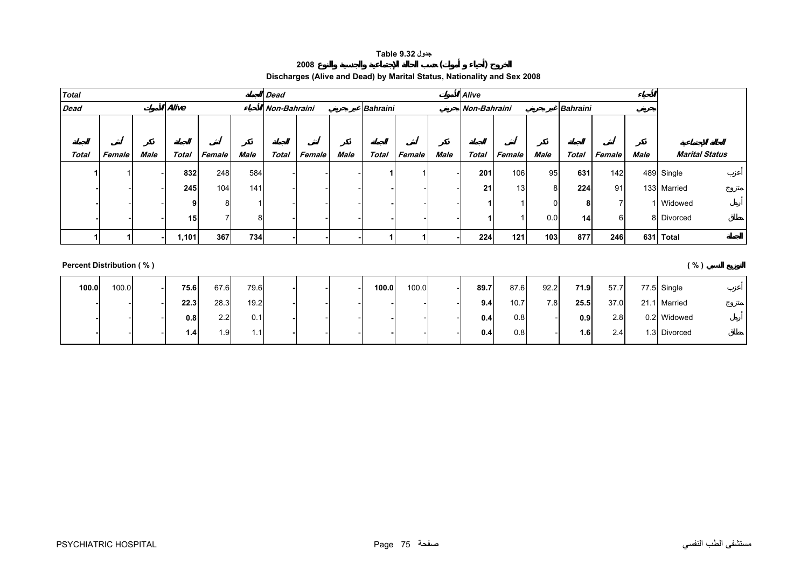#### **جدول 9.32 Table**

#### **Discharges (Alive and Dead) by Marital Status, Nationality and Sex 2008**

**<sup>2008</sup> ( )** 

<span id="page-7-0"></span>

| Total       |        |      |                 |        |      | <b>Dead</b>  |        |      |                 |        |      | <b>Alive</b>                    |        |      |              |        |      |                       |
|-------------|--------|------|-----------------|--------|------|--------------|--------|------|-----------------|--------|------|---------------------------------|--------|------|--------------|--------|------|-----------------------|
| <b>Dead</b> |        |      | Alive           |        |      | Non-Bahraini |        |      | <b>Bahraini</b> |        |      | Non-Bahraini<br><b>Bahraini</b> |        |      |              |        |      |                       |
|             |        |      |                 |        |      |              |        |      |                 |        |      |                                 |        |      |              |        |      |                       |
|             |        |      |                 |        |      |              |        |      |                 |        |      |                                 |        |      |              |        |      |                       |
| Total       | Female | Male | Total           | Female | Male | <b>Total</b> | Female | Male | Total           | Female | Male | Total                           | Female | Male | <b>Total</b> | Female | Male | <b>Marital Status</b> |
|             |        |      | 832             | 248    | 584  |              |        |      |                 |        |      | 201                             | 106    | 95   | 631          | 142    |      | 489 Single            |
|             |        |      | 245             | 104    | 141  |              |        |      |                 |        |      | 21                              | 13     | 8    | 224          | 91     |      | 133 Married           |
|             |        |      | a               |        |      |              |        |      |                 |        |      |                                 |        |      | 8            | 7      |      | 1 Widowed             |
|             |        |      | 15 <sup>1</sup> |        | 8    |              |        |      |                 |        |      |                                 |        | 0.0  | 14           | 6      |      | 8 Divorced            |
|             |        |      | 1,101           | 367    | 734  |              |        |      |                 |        |      | 224                             | 121    | 103  | 877          | 246    |      | 631 Total             |

#### **Percent Distribution ( % ) ( % )**

**100.0** 100.0 - **75.6** 67.6 79.6 **-** - - **100.0** 100.0 - **89.7** 87.6 92.2 **71.9** 57.7 77.5 Single - - **22.3** 28.3 19.2 **-** - - **-** - - **9.4** 10.7 7.8 **25.5** 37.0 21.1 Married  $0.8$  2.2 0.1 **-** - - **-** - - **0.4** 0.8 - **0.9** 2.8 0.2 Widowed - - **1.4**1.9 1.1 **-** - - **-** - - **0.4** 0.8 - **1.6** 2.4 1.3 Divorced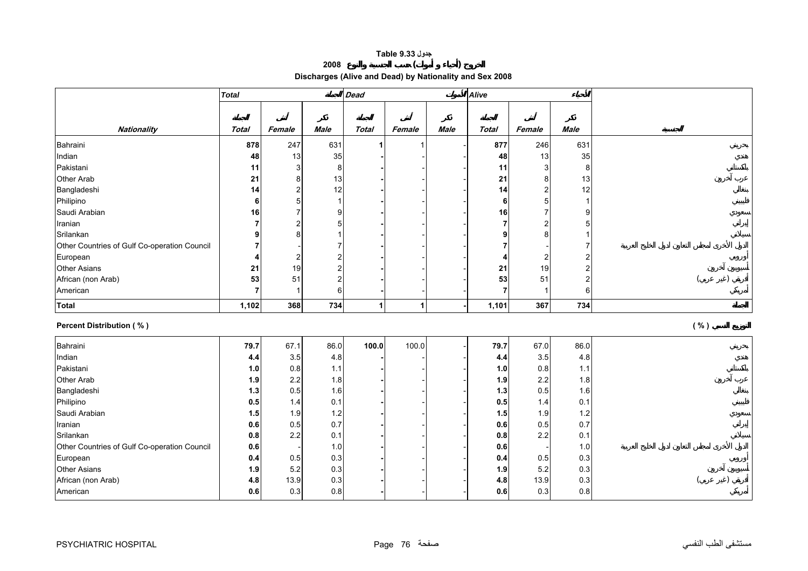#### **جدول 9.33 Table**

**<sup>2008</sup> ( )** 

**Discharges (Alive and Dead) by Nationality and Sex 2008** 

<span id="page-8-0"></span>

| <b>Total</b>                                 |                |                         | <b>Dead</b>             | <b>Alive</b> |                      |             |                |                         |                         |      |
|----------------------------------------------|----------------|-------------------------|-------------------------|--------------|----------------------|-------------|----------------|-------------------------|-------------------------|------|
|                                              |                |                         |                         |              |                      |             |                |                         |                         |      |
|                                              |                |                         |                         |              |                      |             |                |                         |                         |      |
| Nationality                                  | <b>Total</b>   | Female                  | <b>Male</b>             | <b>Total</b> | Female               | <b>Male</b> | <b>Total</b>   | Female                  | Male                    |      |
| Bahraini                                     | 878            | 247                     | 631                     |              |                      |             | 877            | 246                     | 631                     |      |
| Indian                                       | 48             | 13                      | 35                      |              |                      |             | 48             | 13                      | 35                      |      |
| Pakistani                                    | 11             | 3                       | 8                       |              |                      |             | 11             | 3                       | 8                       |      |
| Other Arab                                   | 21             | 8                       | 13                      |              |                      |             | 21             | 8                       | 13                      |      |
| Bangladeshi                                  | 14             | $\overline{c}$          | 12                      |              |                      |             | 14             | $\overline{c}$          | 12                      |      |
| Philipino                                    | 6              | 5                       | $\mathbf{1}$            |              |                      |             | 6              | 5                       | $\mathbf 1$             |      |
| Saudi Arabian                                | 16             | $\overline{7}$          | 9                       |              |                      |             | 16             | $\overline{7}$          | 9                       |      |
| Iranian                                      | $\overline{7}$ | $\overline{\mathbf{c}}$ | $\mathbf 5$             |              |                      |             | $\overline{7}$ | $\overline{2}$          | 5                       |      |
| Srilankan                                    | 9              | 8                       | 1                       |              |                      |             | q              | 8                       | 1                       |      |
| Other Countries of Gulf Co-operation Council | 7              |                         | $\overline{7}$          |              |                      |             |                |                         | $\overline{7}$          |      |
| European                                     | 4              | $\overline{\mathbf{c}}$ | $\boldsymbol{2}$        |              |                      |             | 4              | $\overline{\mathbf{c}}$ | $\overline{2}$          |      |
| <b>Other Asians</b>                          | 21             | 19                      | $\overline{\mathbf{c}}$ |              |                      |             | 21             | 19                      | $\overline{\mathbf{c}}$ |      |
| African (non Arab)                           | 53             | 51                      | $\boldsymbol{2}$        |              |                      |             | 53             | 51                      | $\overline{\mathbf{c}}$ |      |
| American                                     | $\overline{7}$ | $\mathbf{1}$            | 6                       |              |                      |             | $\overline{7}$ | $\overline{1}$          | 6                       |      |
| Total                                        | 1,102          | 368                     | 734                     | 1            | $\blacktriangleleft$ |             | 1,101          | 367                     | 734                     |      |
| <b>Percent Distribution (%)</b>              |                |                         |                         |              |                      |             |                |                         |                         | ( %) |
| Bahraini                                     | 79.7           | 67.1                    | 86.0                    | 100.0        | 100.0                |             | 79.7           | 67.0                    | 86.0                    |      |
| Indian                                       | 4.4            | 3.5                     | $4.8\,$                 |              |                      |             | 4.4            | 3.5                     | 4.8                     |      |
| Pakistani                                    | 1.0            | 0.8                     | $1.1$                   |              |                      |             | 1.0            | 0.8                     | 1.1                     |      |
| Other Arab                                   | 1.9            | 2.2                     | 1.8                     |              |                      |             | 1.9            | 2.2                     | 1.8                     |      |
| Bangladeshi                                  | 1.3            | 0.5                     | 1.6                     |              |                      |             | 1.3            | 0.5                     | 1.6                     |      |
| Philipino                                    | 0.5            | 1.4                     | 0.1                     |              |                      |             | 0.5            | 1.4                     | 0.1                     |      |
| Saudi Arabian                                | 1.5            | 1.9                     | $1.2$                   |              |                      |             | 1.5            | 1.9                     | 1.2                     |      |
| Iranian                                      | 0.6            | 0.5                     | 0.7                     |              |                      |             | 0.6            | 0.5                     | 0.7                     |      |
| Srilankan                                    | 0.8            | 2.2                     | 0.1                     |              |                      |             | 0.8            | 2.2                     | 0.1                     |      |
| Other Countries of Gulf Co-operation Council | 0.6            |                         | 1.0                     |              |                      |             | 0.6            |                         | 1.0                     |      |
| European                                     | 0.4            | 0.5                     | 0.3                     |              |                      |             | 0.4            | 0.5                     | 0.3                     |      |
| <b>Other Asians</b>                          | 1.9            | 5.2                     | 0.3                     |              |                      |             | 1.9            | 5.2                     | 0.3                     |      |
|                                              |                |                         |                         |              |                      |             |                |                         |                         |      |
| African (non Arab)                           | 4.8            | 13.9                    | 0.3                     |              |                      |             | 4.8            | 13.9                    | 0.3                     |      |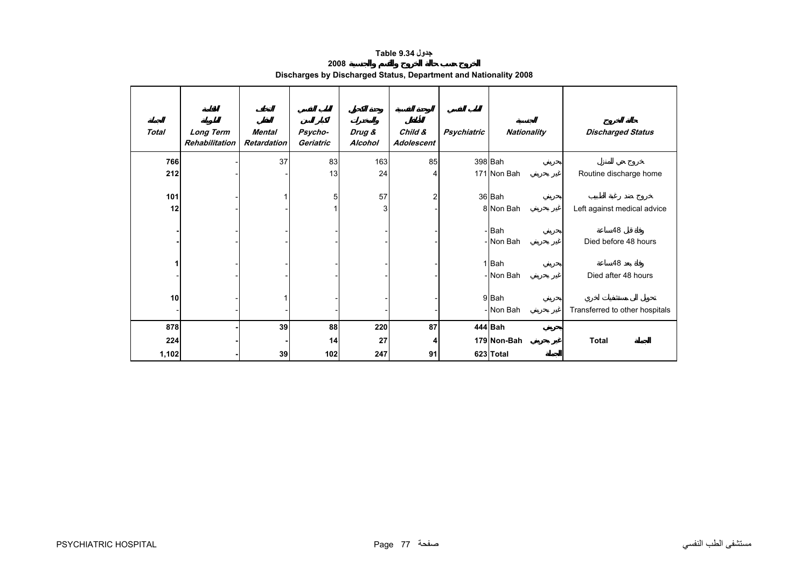#### **جدول 9.34 Table**

| 2008                                                             |  |
|------------------------------------------------------------------|--|
| Discharges by Discharged Status, Department and Nationality 2008 |  |

<span id="page-9-0"></span>

| <b>Total</b> | <b>Long Term</b><br>Rehabilitation | Mental<br><b>Retardation</b> | Psycho-<br>Geriatric | Drug &<br>Alcohol | Child &<br>Adolescent | Psychiatric | <b>Nationality</b> | <b>Discharged Status</b>       |
|--------------|------------------------------------|------------------------------|----------------------|-------------------|-----------------------|-------------|--------------------|--------------------------------|
| 766          |                                    | 37                           | 83                   | 163               | 85                    |             | 398 Bah            |                                |
| 212          |                                    |                              | 13                   | 24                |                       |             | 171 Non Bah        | Routine discharge home         |
| 101          |                                    |                              | 5                    | 57                | $\overline{2}$        |             | 36 Bah             |                                |
| 12           |                                    |                              |                      | 3                 |                       |             | 8 Non Bah          | Left against medical advice    |
|              |                                    |                              |                      |                   |                       |             | -Bah<br>- Non Bah  | 48<br>Died before 48 hours     |
| 1            |                                    |                              |                      |                   |                       |             | 1Bah<br>- Non Bah  | 48<br>Died after 48 hours      |
| 10           |                                    |                              |                      |                   |                       |             | 9Bah<br>- Non Bah  | Transferred to other hospitals |
| 878          |                                    | 39                           | 88                   | 220               | 87                    |             | 444 Bah            |                                |
| 224          |                                    |                              | 14                   | 27                |                       |             | 179 Non-Bah        | <b>Total</b>                   |
| 1,102        |                                    | 39                           | 102                  | 247               | 91                    |             | 623 Total          |                                |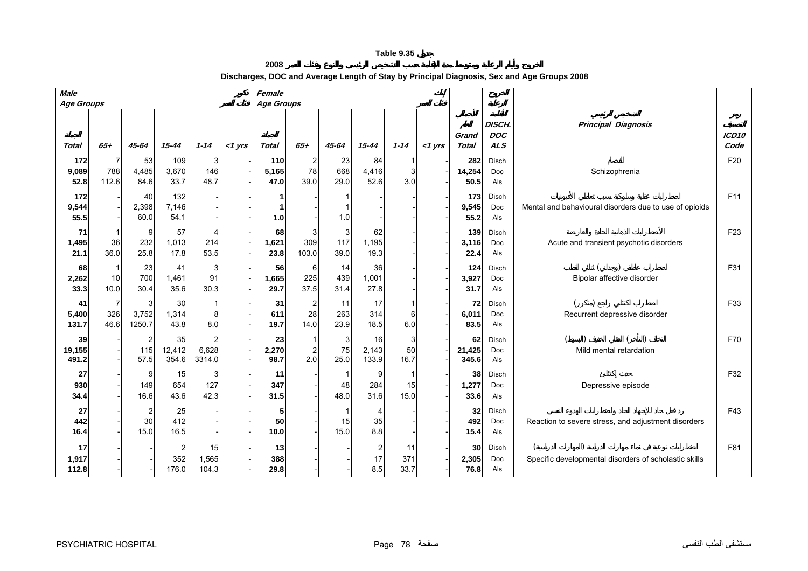**2008 Discharges, DOC and Average Length of Stay by Principal Diagnosis, Sex and Age Groups 2008**

<span id="page-10-0"></span>

| <b>Male</b>           |                               |                      |                       |                      |           | Female               |                                |                   |                             |                   |           |                       |                                    |                                                        |                           |
|-----------------------|-------------------------------|----------------------|-----------------------|----------------------|-----------|----------------------|--------------------------------|-------------------|-----------------------------|-------------------|-----------|-----------------------|------------------------------------|--------------------------------------------------------|---------------------------|
| Age Groups            |                               |                      |                       |                      |           | <b>Age Groups</b>    |                                |                   |                             |                   |           |                       |                                    |                                                        |                           |
| Total                 | $65 +$                        | 45-64                | $15 - 44$             | $1 - 14$             | $<$ 1 yrs | <b>Total</b>         | $65+$                          | 45-64             | $15 - 44$                   | $1 - 14$          | $<$ 1 yrs | Grand<br><b>Total</b> | DISCH.<br><b>DOC</b><br><b>ALS</b> | <b>Principal Diagnosis</b>                             | ICD <sub>10</sub><br>Code |
| 172<br>9,089<br>52.8  | 7<br>788<br>112.6             | 53<br>4,485<br>84.6  | 109<br>3,670<br>33.7  | 3<br>146<br>48.7     |           | 110<br>5,165<br>47.0 | $\overline{a}$<br>78<br>39.0   | 23<br>668<br>29.0 | 84<br>4,416<br>52.6         | 3<br>3.0          |           | 282<br>14,254<br>50.5 | Disch<br>Doc<br>Als                | Schizophrenia                                          | F20                       |
| 172<br>9,544<br>55.5  |                               | 40<br>2,398<br>60.0  | 132<br>7,146<br>54.1  |                      |           | $1.0$                |                                | 1.0               |                             |                   |           | 173<br>9,545<br>55.2  | Disch<br>Doc<br>Als                | Mental and behavioural disorders due to use of opioids | F11                       |
| 71<br>1,495<br>21.1   | 1<br>36<br>36.0               | 9<br>232<br>25.8     | 57<br>1,013<br>17.8   | 214<br>53.5          |           | 68<br>1,621<br>23.8  | 3<br>309<br>103.0              | 3<br>117<br>39.0  | 62<br>1,195<br>19.3         |                   |           | 139<br>3,116<br>22.4  | Disch<br>Doc<br>Als                | Acute and transient psychotic disorders                | F <sub>23</sub>           |
| 68<br>2,262<br>33.3   | 1<br>10<br>10.0               | 23<br>700<br>30.4    | 41<br>1,461<br>35.6   | 3<br>91<br>30.3      |           | 56<br>1,665<br>29.7  | 6<br>225<br>37.5               | 14<br>439<br>31.4 | 36<br>1,001<br>27.8         |                   |           | 124<br>3,927<br>31.7  | Disch<br>Doc<br>Als                | Bipolar affective disorder                             | F31                       |
| 41<br>5,400<br>131.7  | $\overline{7}$<br>326<br>46.6 | 3<br>3,752<br>1250.7 | 30<br>1,314<br>43.8   | 8<br>8.0             |           | 31<br>611<br>19.7    | 2<br>28<br>14.0                | 11<br>263<br>23.9 | 17<br>314<br>18.5           | 6<br>$6.0\,$      |           | 72<br>6,011<br>83.5   | Disch<br>Doc<br>Als                | Recurrent depressive disorder                          | F33                       |
| 39<br>19,155<br>491.2 |                               | 2<br>115<br>57.5     | 35<br>12,412<br>354.6 | 6,628<br>3314.0      |           | 23<br>2,270<br>98.7  | $\overline{\mathbf{c}}$<br>2.0 | 3<br>75<br>25.0   | 16<br>2,143<br>133.9        | 3<br>50<br>16.7   |           | 62<br>21,425<br>345.6 | Disch<br>Doc<br>Als                | Mild mental retardation                                | F70                       |
| 27<br>930<br>34.4     |                               | 9<br>149<br>16.6     | 15<br>654<br>43.6     | 3<br>127<br>42.3     |           | 11<br>347<br>31.5    |                                | 48<br>48.0        | 9<br>284<br>31.6            | -1<br>15<br>15.0  |           | 38<br>1,277<br>33.6   | Disch<br>Doc<br>Als                | Depressive episode                                     | F32                       |
| 27<br>442<br>16.4     |                               | 2<br>30<br>15.0      | 25<br>412<br>16.5     |                      |           | 5<br>50<br>10.0      |                                | 15<br>15.0        | 4<br>35<br>8.8              |                   |           | 32<br>492<br>15.4     | Disch<br>Doc<br>Als                | Reaction to severe stress, and adjustment disorders    | F43                       |
| 17<br>1,917<br>112.8  |                               |                      | 352<br>176.0          | 15<br>1,565<br>104.3 |           | 13<br>388<br>29.8    |                                |                   | $\overline{c}$<br>17<br>8.5 | 11<br>371<br>33.7 |           | 30<br>2,305<br>76.8   | Disch<br>Doc<br>Als                | Specific developmental disorders of scholastic skills  | F81                       |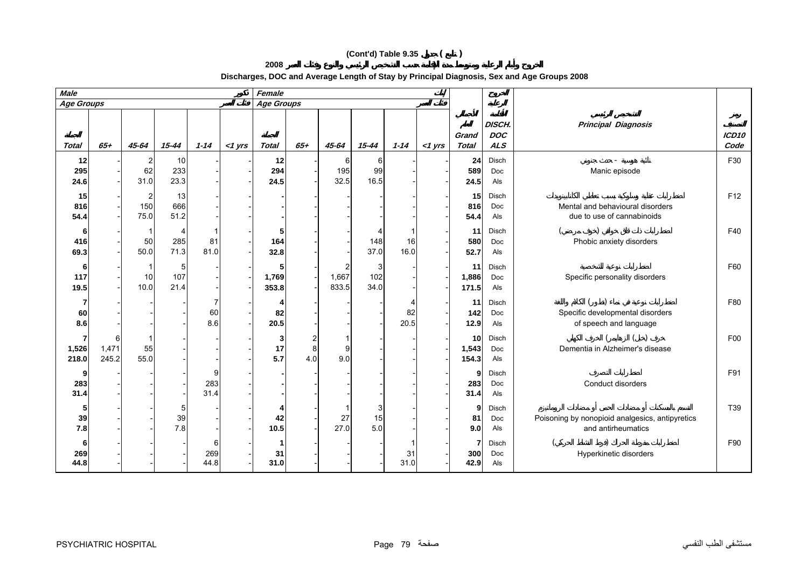# **(Cont'd) Table 9.35 ( )**

**2008**

**Discharges, DOC and Average Length of Stay by Principal Diagnosis, Sex and Age Groups 2008**

| <b>Male</b><br>Female |                     |                               |                         |                  |           |                     |          |                     |                  |            |           |                      |                                    |                                                                       |                           |
|-----------------------|---------------------|-------------------------------|-------------------------|------------------|-----------|---------------------|----------|---------------------|------------------|------------|-----------|----------------------|------------------------------------|-----------------------------------------------------------------------|---------------------------|
| <b>Age Groups</b>     |                     |                               |                         |                  |           | <b>Age Groups</b>   |          |                     |                  |            |           |                      |                                    |                                                                       |                           |
| Total                 | $65 +$              | 45-64                         | $15 - 44$               | $1 - 14$         | $<$ 1 yrs | <b>Total</b>        | $65 +$   | 45-64               | $15 - 44$        | $1 - 14$   | $<$ 1 yrs | Grand<br>Total       | DISCH.<br><b>DOC</b><br><b>ALS</b> | <b>Principal Diagnosis</b>                                            | ICD <sub>10</sub><br>Code |
| 12<br>295<br>24.6     |                     | $\overline{2}$<br>62<br>31.0  | 10<br>233<br>23.3       |                  |           | 12<br>294<br>24.5   |          | 6<br>195<br>32.5    | 6<br>99<br>16.5  |            |           | 24<br>589<br>24.5    | <b>Disch</b><br>Doc<br>Als         | Manic episode                                                         | F30                       |
| 15<br>816<br>54.4     |                     | $\overline{c}$<br>150<br>75.0 | 13<br>666<br>51.2       |                  |           |                     |          |                     |                  |            |           | 15<br>816<br>54.4    | Disch<br>Doc<br>Als                | Mental and behavioural disorders<br>due to use of cannabinoids        | F <sub>12</sub>           |
| 6<br>416<br>69.3      |                     | -1<br>50<br>50.0              | 4<br>285<br>71.3        | 81<br>81.0       |           | 5<br>164<br>32.8    |          |                     | 148<br>37.0      | 16<br>16.0 |           | 11<br>580<br>52.7    | Disch<br><b>Doc</b><br>Als         | Phobic anxiety disorders                                              | F40                       |
| 6<br>117<br>19.5      |                     | 1<br>10<br>10.0               | 5<br>107<br>21.4        |                  |           | 5<br>1,769<br>353.8 |          | 2<br>1,667<br>833.5 | 3<br>102<br>34.0 |            |           | 11<br>1,886<br>171.5 | Disch<br>Doc<br>Als                | Specific personality disorders                                        | F60                       |
| 7<br>60<br>8.6        |                     |                               |                         | 60<br>8.6        |           | 82<br>20.5          |          |                     |                  | 82<br>20.5 |           | 11<br>142<br>12.9    | Disch<br>Doc<br>Als                | Specific developmental disorders<br>of speech and language            | F80                       |
| 7<br>1,526<br>218.0   | 6<br>1,471<br>245.2 | 55<br>55.0                    |                         |                  |           | 3<br>17<br>5.7      | 8<br>4.0 | 9<br>9.0            |                  |            |           | 10<br>1,543<br>154.3 | Disch<br>Doc<br>Als                | Dementia in Alzheimer's disease                                       | F00                       |
| 9<br>283<br>31.4      |                     |                               |                         | 283<br>31.4      |           |                     |          |                     |                  |            |           | 9<br>283<br>31.4     | Disch<br>Doc<br>Als                | Conduct disorders                                                     | F91                       |
| 5<br>39<br>7.8        |                     |                               | $\sqrt{5}$<br>39<br>7.8 |                  |           | 42<br>10.5          |          | 27<br>27.0          | 3<br>15<br>5.0   |            |           | 9<br>81<br>9.0       | Disch<br>Doc<br>Als                | Poisoning by nonopioid analgesics, antipyretics<br>and antirheumatics | T39                       |
| 6<br>269<br>44.8      |                     |                               |                         | 6<br>269<br>44.8 |           | 1<br>31<br>31.0     |          |                     |                  | 31<br>31.0 |           | 7<br>300<br>42.9     | Disch<br>Doc<br>Als                | Hyperkinetic disorders                                                | F90                       |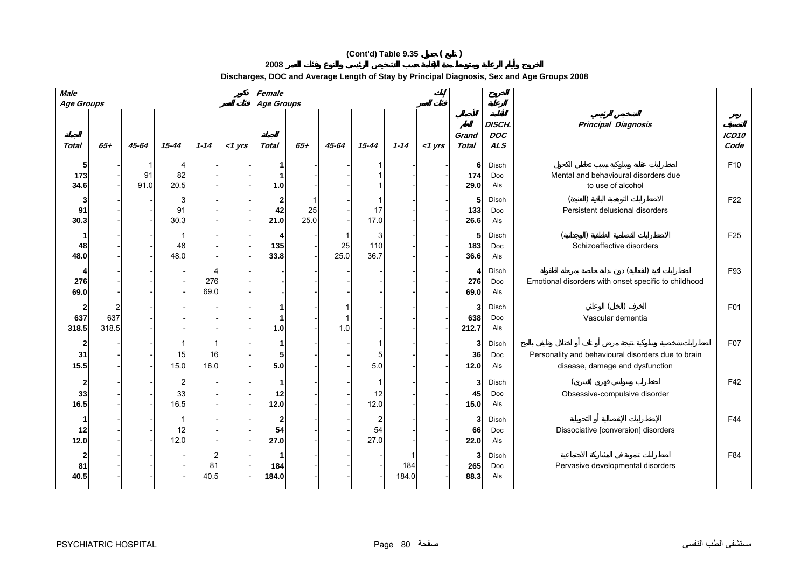# **(Cont'd) Table 9.35 ( )**

**2008**

**Discharges, DOC and Average Length of Stay by Principal Diagnosis, Sex and Age Groups 2008**

| <b>Male</b>       |              |            |                 |             |           | Female            |            |            |                  |              |           |                   |                                    |                                                                                       |                           |
|-------------------|--------------|------------|-----------------|-------------|-----------|-------------------|------------|------------|------------------|--------------|-----------|-------------------|------------------------------------|---------------------------------------------------------------------------------------|---------------------------|
| <b>Age Groups</b> |              |            |                 |             |           | <b>Age Groups</b> |            |            |                  |              |           |                   |                                    |                                                                                       |                           |
| <b>Total</b>      | $65 +$       | 45-64      | $15 - 44$       | $1 - 14$    | $<$ 1 yrs | <b>Total</b>      | $65 +$     | 45-64      | $15 - 44$        | $1 - 14$     | $<$ 1 yrs | Grand<br>Total    | DISCH.<br><b>DOC</b><br><b>ALS</b> | <b>Principal Diagnosis</b>                                                            | ICD <sub>10</sub><br>Code |
| 5<br>173<br>34.6  |              | 91<br>91.0 | 82<br>20.5      |             |           | 1.0               |            |            |                  |              |           | 6<br>174<br>29.0  | Disch<br>Doc<br>Als                | Mental and behavioural disorders due<br>to use of alcohol                             | F10                       |
| 3<br>91<br>30.3   |              |            | 3<br>91<br>30.3 |             |           | 2<br>42<br>21.0   | 25<br>25.0 |            | 17<br>17.0       |              |           | 5<br>133<br>26.6  | Disch<br>Doc<br>Als                | Persistent delusional disorders                                                       | F <sub>22</sub>           |
| 48<br>48.0        |              |            | 48<br>48.0      |             |           | 4<br>135<br>33.8  |            | 25<br>25.0 | 3<br>110<br>36.7 |              |           | 5<br>183<br>36.6  | Disch<br>Doc<br>Als                | Schizoaffective disorders                                                             | F <sub>25</sub>           |
| 276<br>69.0       |              |            |                 | 276<br>69.0 |           |                   |            |            |                  |              |           | 4<br>276<br>69.0  | Disch<br>Doc<br>Als                | Emotional disorders with onset specific to childhood                                  | F93                       |
| 2<br>637<br>318.5 | 637<br>318.5 |            |                 |             |           | 1.0               |            | 1.0        |                  |              |           | 3<br>638<br>212.7 | Disch<br>Doc<br>Als                | Vascular dementia                                                                     | F01                       |
| 2<br>31<br>15.5   |              |            | 15<br>15.0      | 16<br>16.0  |           | 5<br>5.0          |            |            | 5<br>5.0         |              |           | 3<br>36<br>$12.0$ | Disch<br>Doc<br>Als                | Personality and behavioural disorders due to brain<br>disease, damage and dysfunction | F07                       |
| 2<br>33<br>16.5   |              |            | 2<br>33<br>16.5 |             |           | 12<br>$12.0$      |            |            | 12<br>12.0       |              |           | 3<br>45<br>15.0   | Disch<br>Doc<br>Als                | Obsessive-compulsive disorder                                                         | F42                       |
| 12<br>12.0        |              |            | 12<br>12.0      |             |           | 54<br>27.0        |            |            | 54<br>27.0       |              |           | 3<br>66<br>22.0   | Disch<br>Doc<br>Als                | Dissociative [conversion] disorders                                                   | F44                       |
| 81<br>40.5        |              |            |                 | 81<br>40.5  |           | 184<br>184.0      |            |            |                  | 184<br>184.0 |           | 3<br>265<br>88.3  | Disch<br>Doc<br>Als                | Pervasive developmental disorders                                                     | F84                       |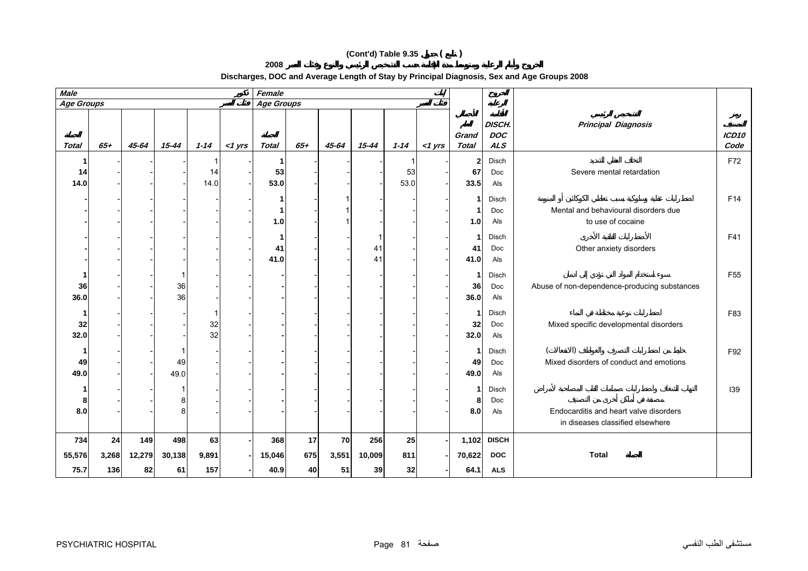# **(Cont'd) Table 9.35 ( )**

**2008**

**Discharges, DOC and Average Length of Stay by Principal Diagnosis, Sex and Age Groups 2008**

| <b>Male</b><br>Female |                    |                     |                     |                    |           |                       |                 |                   |                     |                 |           |                            |                                          |                                                                            |                 |
|-----------------------|--------------------|---------------------|---------------------|--------------------|-----------|-----------------------|-----------------|-------------------|---------------------|-----------------|-----------|----------------------------|------------------------------------------|----------------------------------------------------------------------------|-----------------|
| Age Groups            |                    |                     |                     |                    |           | Age Groups            |                 |                   |                     |                 |           |                            |                                          |                                                                            |                 |
| <b>Total</b>          | $65 +$             | 45-64               | $15 - 44$           | $1 - 14$           | $<$ 1 yrs | <b>Total</b>          | $65 +$          | $45 - 64$         | $15 - 44$           | $1 - 14$        | $<$ 1 yrs | Grand<br><b>Total</b>      | DISCH.<br><b>DOC</b><br><b>ALS</b>       | <b>Principal Diagnosis</b>                                                 | ICD10<br>Code   |
| 14<br>14.0            |                    |                     |                     | 14<br>14.0         |           | 53<br>53.0            |                 |                   |                     | 53<br>53.0      |           | $\mathbf{2}$<br>67<br>33.5 | Disch<br>Doc<br>Als                      | Severe mental retardation                                                  | F72             |
|                       |                    |                     |                     |                    |           | 1.0                   |                 |                   |                     |                 |           | 1<br>1<br>1.0              | Disch<br>Doc<br>Als                      | Mental and behavioural disorders due<br>to use of cocaine                  | F14             |
|                       |                    |                     |                     |                    |           | 41<br>41.0            |                 |                   | 41<br>41            |                 |           | 1<br>41<br>41.0            | Disch<br>Doc<br>Als                      | Other anxiety disorders                                                    | F41             |
| 36<br>36.0            |                    |                     | 36<br>36            |                    |           |                       |                 |                   |                     |                 |           | 1<br>36<br>36.0            | Disch<br>Doc<br>Als                      | Abuse of non-dependence-producing substances                               | F <sub>55</sub> |
| 32<br>32.0            |                    |                     |                     | 32<br>32           |           |                       |                 |                   |                     |                 |           | 1<br>32<br>32.0            | Disch<br>Doc<br>Als                      | Mixed specific developmental disorders                                     | F83             |
| 49<br>49.0            |                    |                     | 49<br>49.0          |                    |           |                       |                 |                   |                     |                 |           | 1<br>49<br>49.0            | Disch<br>Doc<br>Als                      | Mixed disorders of conduct and emotions                                    | F92             |
| 8<br>8.0              |                    |                     | 8                   |                    |           |                       |                 |                   |                     |                 |           | 1<br>8<br>8.0              | Disch<br>Doc<br>Als                      | Endocarditis and heart valve disorders<br>in diseases classified elsewhere | 139             |
| 734<br>55,576<br>75.7 | 24<br>3,268<br>136 | 149<br>12,279<br>82 | 498<br>30,138<br>61 | 63<br>9,891<br>157 |           | 368<br>15,046<br>40.9 | 17<br>675<br>40 | 70<br>3,551<br>51 | 256<br>10,009<br>39 | 25<br>811<br>32 |           | 1,102<br>70,622<br>64.1    | <b>DISCH</b><br><b>DOC</b><br><b>ALS</b> | <b>Total</b>                                                               |                 |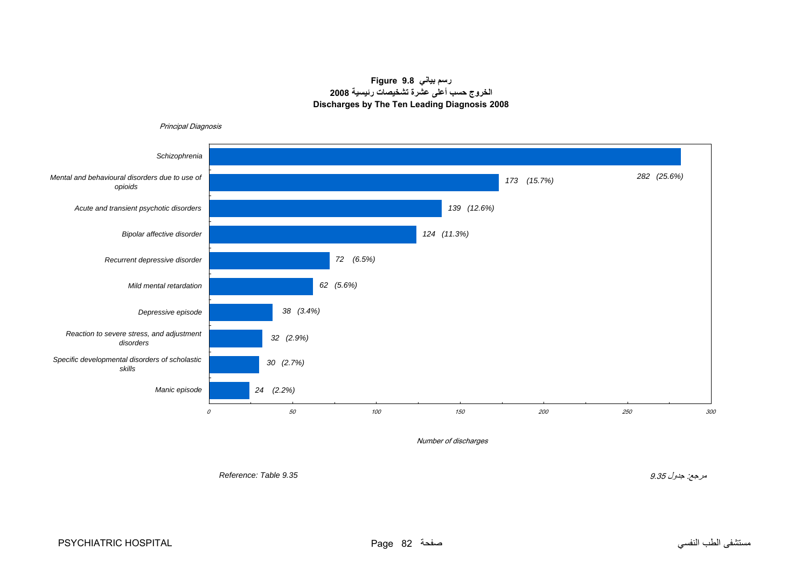# **رسم بياني 9.8 Figure الخروج حسب أعلى عشرة تشخيصات رئيسية <sup>2008</sup> Discharges by The Ten Leading Diagnosis 2008**

<span id="page-14-0"></span>